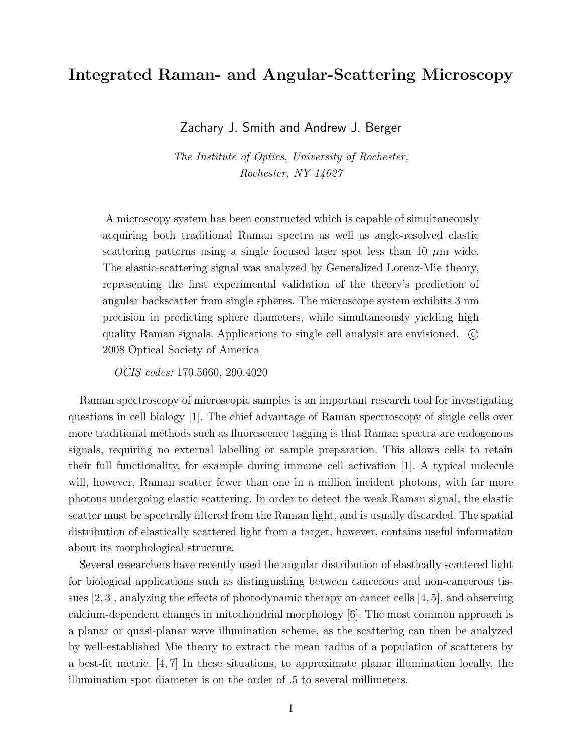## Integrated Raman- and Angular-Scattering Microscopy

Zachary J. Smith and Andrew J. Berger

The Institute of Optics, University of Rochester, Rochester, NY 14627

A microscopy system has been constructed which is capable of simultaneously acquiring both traditional Raman spectra as well as angle-resolved elastic scattering patterns using a single focused laser spot less than 10  $\mu$ m wide. The elastic-scattering signal was analyzed by Generalized Lorenz-Mie theory, representing the first experimental validation of the theory's prediction of angular backscatter from single spheres. The microscope system exhibits 3 nm precision in predicting sphere diameters, while simultaneously yielding high quality Raman signals. Applications to single cell analysis are envisioned.  $\odot$ 2008 Optical Society of America

OCIS codes: 170.5660, 290.4020

Raman spectroscopy of microscopic samples is an important research tool for investigating questions in cell biology [1]. The chief advantage of Raman spectroscopy of single cells over more traditional methods such as fluorescence tagging is that Raman spectra are endogenous signals, requiring no external labelling or sample preparation. This allows cells to retain their full functionality, for example during immune cell activation [1]. A typical molecule will, however, Raman scatter fewer than one in a million incident photons, with far more photons undergoing elastic scattering. In order to detect the weak Raman signal, the elastic scatter must be spectrally filtered from the Raman light, and is usually discarded. The spatial distribution of elastically scattered light from a target, however, contains useful information about its morphological structure.

Several researchers have recently used the angular distribution of elastically scattered light for biological applications such as distinguishing between cancerous and non-cancerous tissues [2, 3], analyzing the effects of photodynamic therapy on cancer cells [4, 5], and observing calcium-dependent changes in mitochondrial morphology [6]. The most common approach is a planar or quasi-planar wave illumination scheme, as the scattering can then be analyzed by well-established Mie theory to extract the mean radius of a population of scatterers by a best-fit metric. [4, 7] In these situations, to approximate planar illumination locally, the illumination spot diameter is on the order of .5 to several millimeters.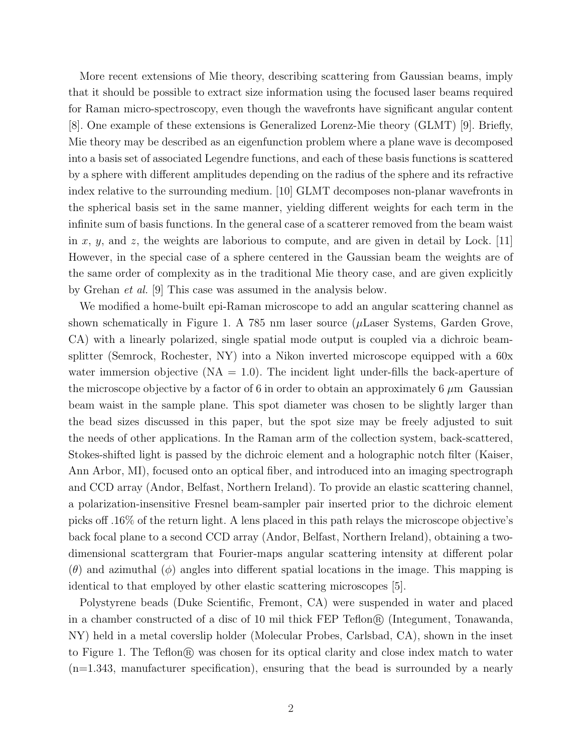More recent extensions of Mie theory, describing scattering from Gaussian beams, imply that it should be possible to extract size information using the focused laser beams required for Raman micro-spectroscopy, even though the wavefronts have significant angular content [8]. One example of these extensions is Generalized Lorenz-Mie theory (GLMT) [9]. Briefly, Mie theory may be described as an eigenfunction problem where a plane wave is decomposed into a basis set of associated Legendre functions, and each of these basis functions is scattered by a sphere with different amplitudes depending on the radius of the sphere and its refractive index relative to the surrounding medium. [10] GLMT decomposes non-planar wavefronts in the spherical basis set in the same manner, yielding different weights for each term in the infinite sum of basis functions. In the general case of a scatterer removed from the beam waist in x, y, and z, the weights are laborious to compute, and are given in detail by Lock. [11] However, in the special case of a sphere centered in the Gaussian beam the weights are of the same order of complexity as in the traditional Mie theory case, and are given explicitly by Grehan et al. [9] This case was assumed in the analysis below.

We modified a home-built epi-Raman microscope to add an angular scattering channel as shown schematically in Figure 1. A 785 nm laser source ( $\mu$ Laser Systems, Garden Grove, CA) with a linearly polarized, single spatial mode output is coupled via a dichroic beamsplitter (Semrock, Rochester, NY) into a Nikon inverted microscope equipped with a 60x water immersion objective  $(NA = 1.0)$ . The incident light under-fills the back-aperture of the microscope objective by a factor of 6 in order to obtain an approximately 6  $\mu$ m Gaussian beam waist in the sample plane. This spot diameter was chosen to be slightly larger than the bead sizes discussed in this paper, but the spot size may be freely adjusted to suit the needs of other applications. In the Raman arm of the collection system, back-scattered, Stokes-shifted light is passed by the dichroic element and a holographic notch filter (Kaiser, Ann Arbor, MI), focused onto an optical fiber, and introduced into an imaging spectrograph and CCD array (Andor, Belfast, Northern Ireland). To provide an elastic scattering channel, a polarization-insensitive Fresnel beam-sampler pair inserted prior to the dichroic element picks off .16% of the return light. A lens placed in this path relays the microscope objective's back focal plane to a second CCD array (Andor, Belfast, Northern Ireland), obtaining a twodimensional scattergram that Fourier-maps angular scattering intensity at different polar  $(\theta)$  and azimuthal  $(\phi)$  angles into different spatial locations in the image. This mapping is identical to that employed by other elastic scattering microscopes [5].

Polystyrene beads (Duke Scientific, Fremont, CA) were suspended in water and placed in a chamber constructed of a disc of 10 mil thick  $FEP$  Teflon $\mathcal{R}$  (Integument, Tonawanda, NY) held in a metal coverslip holder (Molecular Probes, Carlsbad, CA), shown in the inset to Figure 1. The Teflon<sup>®</sup> was chosen for its optical clarity and close index match to water (n=1.343, manufacturer specification), ensuring that the bead is surrounded by a nearly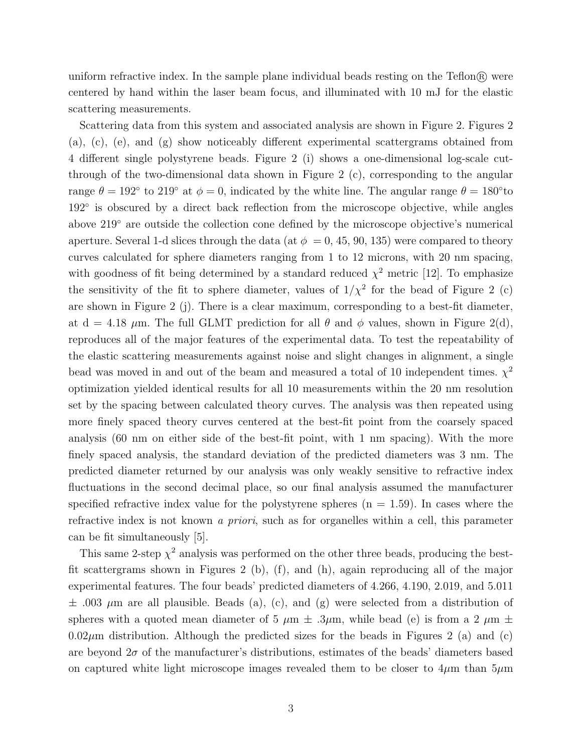uniform refractive index. In the sample plane individual beads resting on the  $T$ eflon $\mathbb{R}$  were centered by hand within the laser beam focus, and illuminated with 10 mJ for the elastic scattering measurements.

Scattering data from this system and associated analysis are shown in Figure 2. Figures 2 (a), (c), (e), and (g) show noticeably different experimental scattergrams obtained from 4 different single polystyrene beads. Figure 2 (i) shows a one-dimensional log-scale cutthrough of the two-dimensional data shown in Figure 2 (c), corresponding to the angular range  $\theta = 192^{\circ}$  to  $219^{\circ}$  at  $\phi = 0$ , indicated by the white line. The angular range  $\theta = 180^{\circ}$ to 192◦ is obscured by a direct back reflection from the microscope objective, while angles above 219◦ are outside the collection cone defined by the microscope objective's numerical aperture. Several 1-d slices through the data (at  $\phi = 0, 45, 90, 135$ ) were compared to theory curves calculated for sphere diameters ranging from 1 to 12 microns, with 20 nm spacing, with goodness of fit being determined by a standard reduced  $\chi^2$  metric [12]. To emphasize the sensitivity of the fit to sphere diameter, values of  $1/\chi^2$  for the bead of Figure 2 (c) are shown in Figure 2 (j). There is a clear maximum, corresponding to a best-fit diameter, at d = 4.18  $\mu$ m. The full GLMT prediction for all  $\theta$  and  $\phi$  values, shown in Figure 2(d), reproduces all of the major features of the experimental data. To test the repeatability of the elastic scattering measurements against noise and slight changes in alignment, a single bead was moved in and out of the beam and measured a total of 10 independent times.  $\chi^2$ optimization yielded identical results for all 10 measurements within the 20 nm resolution set by the spacing between calculated theory curves. The analysis was then repeated using more finely spaced theory curves centered at the best-fit point from the coarsely spaced analysis (60 nm on either side of the best-fit point, with 1 nm spacing). With the more finely spaced analysis, the standard deviation of the predicted diameters was 3 nm. The predicted diameter returned by our analysis was only weakly sensitive to refractive index fluctuations in the second decimal place, so our final analysis assumed the manufacturer specified refractive index value for the polystyrene spheres  $(n = 1.59)$ . In cases where the refractive index is not known a priori, such as for organelles within a cell, this parameter can be fit simultaneously [5].

This same 2-step  $\chi^2$  analysis was performed on the other three beads, producing the bestfit scattergrams shown in Figures 2 (b), (f), and (h), again reproducing all of the major experimental features. The four beads' predicted diameters of 4.266, 4.190, 2.019, and 5.011  $\pm$  .003  $\mu$ m are all plausible. Beads (a), (c), and (g) were selected from a distribution of spheres with a quoted mean diameter of 5  $\mu$ m  $\pm$  .3 $\mu$ m, while bead (e) is from a 2  $\mu$ m  $\pm$  $0.02\mu$ m distribution. Although the predicted sizes for the beads in Figures 2 (a) and (c) are beyond  $2\sigma$  of the manufacturer's distributions, estimates of the beads' diameters based on captured white light microscope images revealed them to be closer to  $4\mu$ m than  $5\mu$ m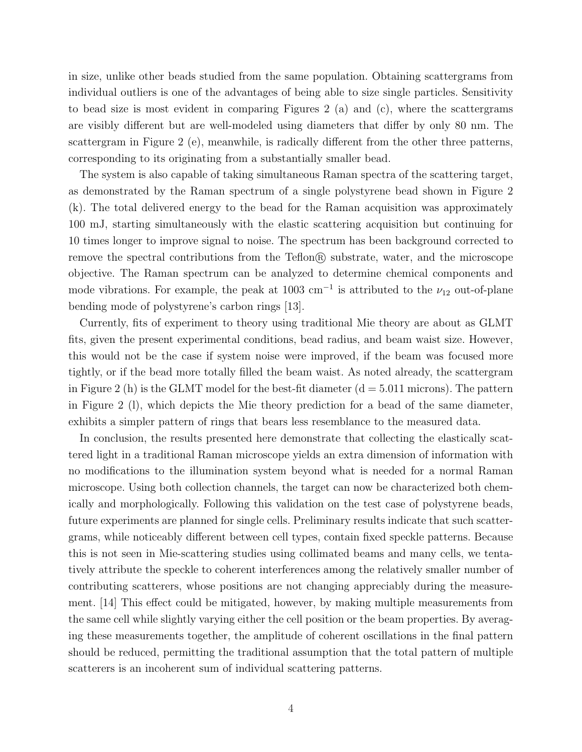in size, unlike other beads studied from the same population. Obtaining scattergrams from individual outliers is one of the advantages of being able to size single particles. Sensitivity to bead size is most evident in comparing Figures 2 (a) and (c), where the scattergrams are visibly different but are well-modeled using diameters that differ by only 80 nm. The scattergram in Figure 2 (e), meanwhile, is radically different from the other three patterns, corresponding to its originating from a substantially smaller bead.

The system is also capable of taking simultaneous Raman spectra of the scattering target, as demonstrated by the Raman spectrum of a single polystyrene bead shown in Figure 2 (k). The total delivered energy to the bead for the Raman acquisition was approximately 100 mJ, starting simultaneously with the elastic scattering acquisition but continuing for 10 times longer to improve signal to noise. The spectrum has been background corrected to remove the spectral contributions from the Teflon $\mathbb{R}$  substrate, water, and the microscope objective. The Raman spectrum can be analyzed to determine chemical components and mode vibrations. For example, the peak at  $1003 \text{ cm}^{-1}$  is attributed to the  $\nu_{12}$  out-of-plane bending mode of polystyrene's carbon rings [13].

Currently, fits of experiment to theory using traditional Mie theory are about as GLMT fits, given the present experimental conditions, bead radius, and beam waist size. However, this would not be the case if system noise were improved, if the beam was focused more tightly, or if the bead more totally filled the beam waist. As noted already, the scattergram in Figure 2 (h) is the GLMT model for the best-fit diameter  $(d = 5.011$  microns). The pattern in Figure 2 (l), which depicts the Mie theory prediction for a bead of the same diameter, exhibits a simpler pattern of rings that bears less resemblance to the measured data.

In conclusion, the results presented here demonstrate that collecting the elastically scattered light in a traditional Raman microscope yields an extra dimension of information with no modifications to the illumination system beyond what is needed for a normal Raman microscope. Using both collection channels, the target can now be characterized both chemically and morphologically. Following this validation on the test case of polystyrene beads, future experiments are planned for single cells. Preliminary results indicate that such scattergrams, while noticeably different between cell types, contain fixed speckle patterns. Because this is not seen in Mie-scattering studies using collimated beams and many cells, we tentatively attribute the speckle to coherent interferences among the relatively smaller number of contributing scatterers, whose positions are not changing appreciably during the measurement. [14] This effect could be mitigated, however, by making multiple measurements from the same cell while slightly varying either the cell position or the beam properties. By averaging these measurements together, the amplitude of coherent oscillations in the final pattern should be reduced, permitting the traditional assumption that the total pattern of multiple scatterers is an incoherent sum of individual scattering patterns.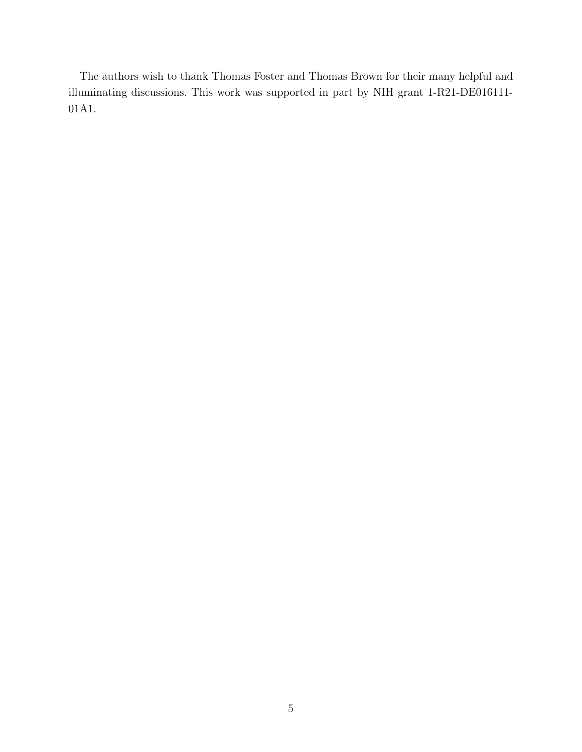The authors wish to thank Thomas Foster and Thomas Brown for their many helpful and illuminating discussions. This work was supported in part by NIH grant 1-R21-DE016111- 01A1.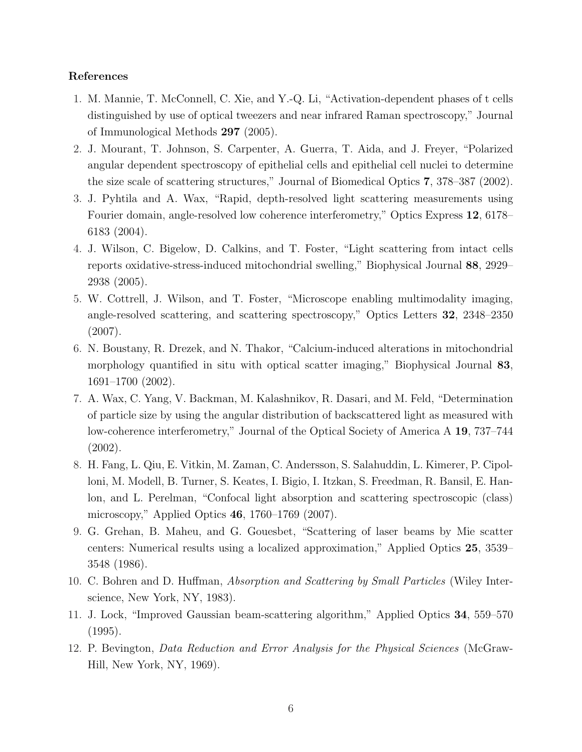## References

- 1. M. Mannie, T. McConnell, C. Xie, and Y.-Q. Li, "Activation-dependent phases of t cells distinguished by use of optical tweezers and near infrared Raman spectroscopy," Journal of Immunological Methods 297 (2005).
- 2. J. Mourant, T. Johnson, S. Carpenter, A. Guerra, T. Aida, and J. Freyer, "Polarized angular dependent spectroscopy of epithelial cells and epithelial cell nuclei to determine the size scale of scattering structures," Journal of Biomedical Optics 7, 378–387 (2002).
- 3. J. Pyhtila and A. Wax, "Rapid, depth-resolved light scattering measurements using Fourier domain, angle-resolved low coherence interferometry," Optics Express 12, 6178– 6183 (2004).
- 4. J. Wilson, C. Bigelow, D. Calkins, and T. Foster, "Light scattering from intact cells reports oxidative-stress-induced mitochondrial swelling," Biophysical Journal 88, 2929– 2938 (2005).
- 5. W. Cottrell, J. Wilson, and T. Foster, "Microscope enabling multimodality imaging, angle-resolved scattering, and scattering spectroscopy," Optics Letters 32, 2348–2350 (2007).
- 6. N. Boustany, R. Drezek, and N. Thakor, "Calcium-induced alterations in mitochondrial morphology quantified in situ with optical scatter imaging," Biophysical Journal 83, 1691–1700 (2002).
- 7. A. Wax, C. Yang, V. Backman, M. Kalashnikov, R. Dasari, and M. Feld, "Determination of particle size by using the angular distribution of backscattered light as measured with low-coherence interferometry," Journal of the Optical Society of America A 19, 737–744 (2002).
- 8. H. Fang, L. Qiu, E. Vitkin, M. Zaman, C. Andersson, S. Salahuddin, L. Kimerer, P. Cipolloni, M. Modell, B. Turner, S. Keates, I. Bigio, I. Itzkan, S. Freedman, R. Bansil, E. Hanlon, and L. Perelman, "Confocal light absorption and scattering spectroscopic (class) microscopy," Applied Optics 46, 1760–1769 (2007).
- 9. G. Grehan, B. Maheu, and G. Gouesbet, "Scattering of laser beams by Mie scatter centers: Numerical results using a localized approximation," Applied Optics 25, 3539– 3548 (1986).
- 10. C. Bohren and D. Huffman, Absorption and Scattering by Small Particles (Wiley Interscience, New York, NY, 1983).
- 11. J. Lock, "Improved Gaussian beam-scattering algorithm," Applied Optics 34, 559–570 (1995).
- 12. P. Bevington, Data Reduction and Error Analysis for the Physical Sciences (McGraw-Hill, New York, NY, 1969).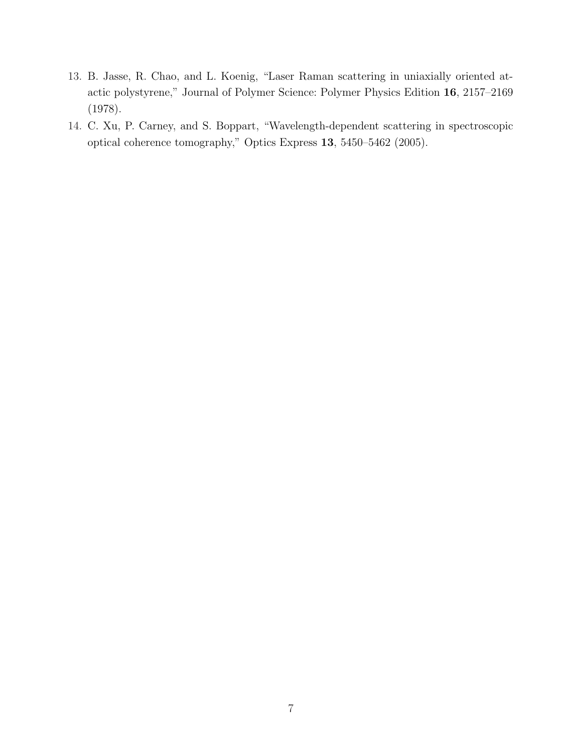- 13. B. Jasse, R. Chao, and L. Koenig, "Laser Raman scattering in uniaxially oriented atactic polystyrene," Journal of Polymer Science: Polymer Physics Edition 16, 2157–2169 (1978).
- 14. C. Xu, P. Carney, and S. Boppart, "Wavelength-dependent scattering in spectroscopic optical coherence tomography," Optics Express 13, 5450–5462 (2005).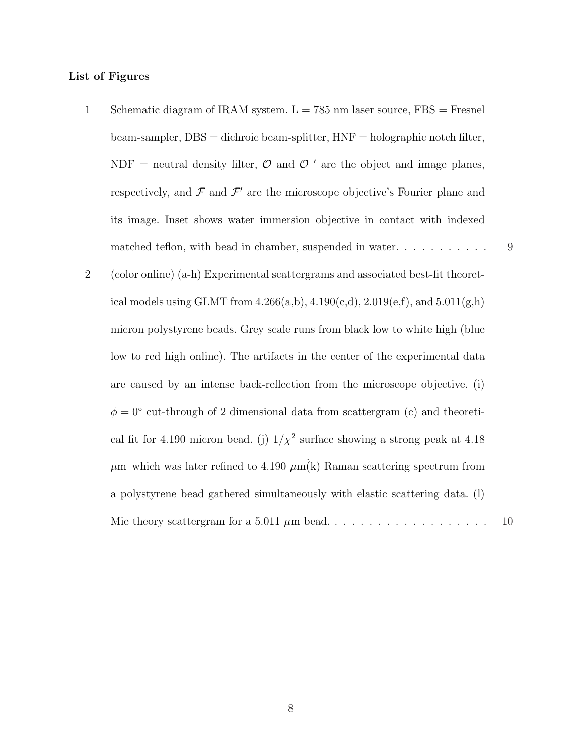## List of Figures

- 1 Schematic diagram of IRAM system.  $L = 785$  nm laser source,  $FBS =$  Fresnel beam-sampler, DBS = dichroic beam-splitter, HNF = holographic notch filter, NDF = neutral density filter,  $\mathcal{O}$  and  $\mathcal{O}'$  are the object and image planes, respectively, and  $\mathcal F$  and  $\mathcal F'$  are the microscope objective's Fourier plane and its image. Inset shows water immersion objective in contact with indexed matched teflon, with bead in chamber, suspended in water. . . . . . . . . . . . 9
- 2 (color online) (a-h) Experimental scattergrams and associated best-fit theoretical models using GLMT from  $4.266(a,b), 4.190(c,d), 2.019(e,f),$  and  $5.011(g,h)$ micron polystyrene beads. Grey scale runs from black low to white high (blue low to red high online). The artifacts in the center of the experimental data are caused by an intense back-reflection from the microscope objective. (i)  $\phi = 0^{\circ}$  cut-through of 2 dimensional data from scattergram (c) and theoretical fit for 4.190 micron bead. (j)  $1/\chi^2$  surface showing a strong peak at 4.18  $\mu$ m which was later refined to 4.190  $\mu$ m(k) Raman scattering spectrum from a polystyrene bead gathered simultaneously with elastic scattering data. (l) Mie theory scattergram for a 5.011 µm bead. . . . . . . . . . . . . . . . . . . 10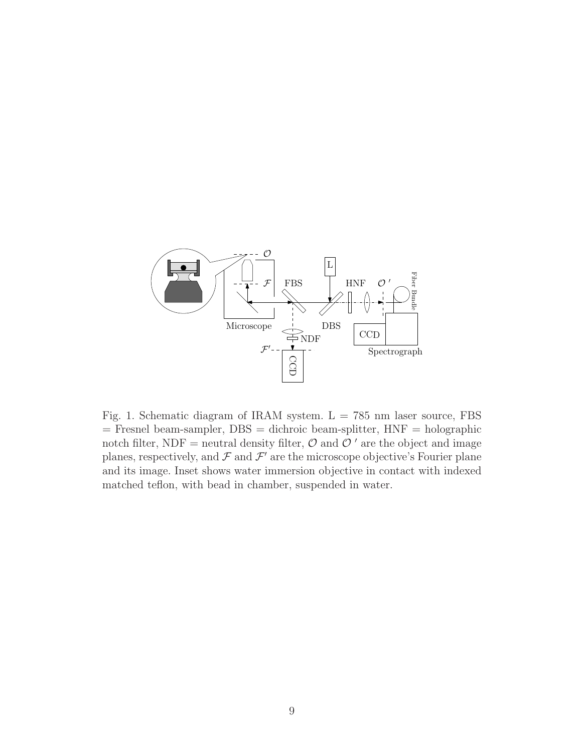

Fig. 1. Schematic diagram of IRAM system.  $L = 785$  nm laser source, FBS  $=$  Fresnel beam-sampler, DBS  $=$  dichroic beam-splitter,  $HNF =$  holographic notch filter, NDF = neutral density filter,  $\mathcal{O}$  and  $\mathcal{O}'$  are the object and image planes, respectively, and  $\mathcal F$  and  $\mathcal F'$  are the microscope objective's Fourier plane and its image. Inset shows water immersion objective in contact with indexed matched teflon, with bead in chamber, suspended in water.